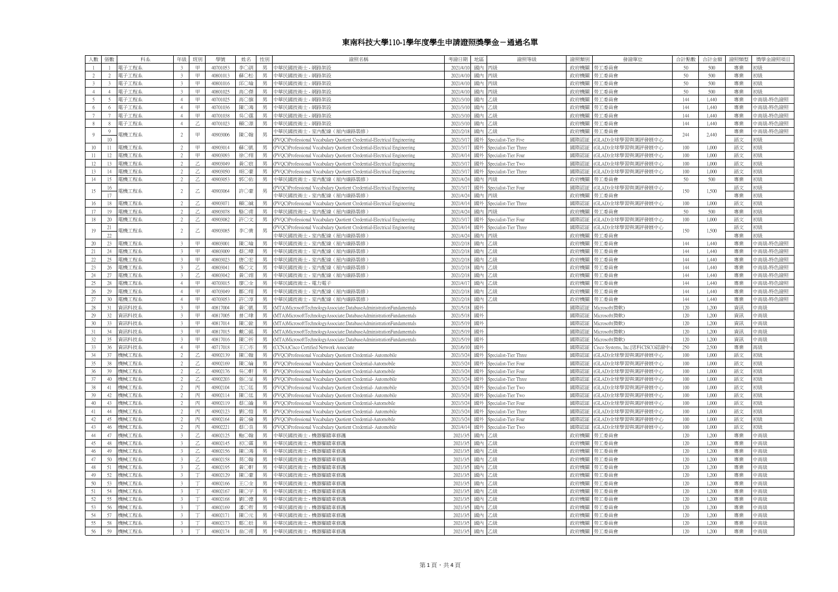## 東南科技大學110-1學年度學生申請證照獎學金-通過名單

| 人數              | 張數               | 科系    | 年级                        | 班別                        | 學號       | 姓名  | 性別 | 證照名稱                                                                     | 考證日期     | 地區 | 證照等級                     | 證照類別 | 發證單位                           | 合計點數         | 合計金額  | 證照類型 | 獎學金證照項目  |
|-----------------|------------------|-------|---------------------------|---------------------------|----------|-----|----|--------------------------------------------------------------------------|----------|----|--------------------------|------|--------------------------------|--------------|-------|------|----------|
|                 | $\overline{1}$   | 電子工程系 | $\mathcal{R}$             | 甲                         | 40701053 | 李〇訓 | 男  | 中華民國技術士 - 網路架設                                                           | 2021/4/1 | 國內 | 丙級                       | 政府機關 | 勞工委員會                          | 50           | 500   | 專業   |          |
| $2^{\circ}$     | $\mathcal{L}$    | 電子工程系 | $\overline{3}$            | $\quad \  \  \, \boxplus$ | 40801013 | 蘇〇松 | 男  | 中華民國技術士 - 網路架設                                                           | 2021/4/1 | 國內 | 丙級                       | 政府機關 | 第工委員會                          | 50           | 500   | 專業   | 形状       |
| $3 -$           | $\mathcal{R}$    | 電子工程系 | $\overline{3}$            | 甲                         | 40801016 | 邱○瑜 | 男  | 中華民國技術士 - 網路架設                                                           | 2021/4/1 | 國內 | 丙級                       | 政府機關 | 勞工委員會                          | 50           | 500   | 專業   | 形狀       |
| 4               | $\Lambda$        | 電子工程系 | $\overline{\mathbf{3}}$   | $\quad \  \  \, \boxplus$ | 40801025 | 高〇傑 | 男  | 中華民國技術士 - 網路架設                                                           | 2021/4/1 | 國內 | 丙級                       | 政府機關 | 第工委員會                          | 50           | 500   | 專業   | のうけん     |
| 5               | 5                | 電子工程系 | $\overline{4}$            | $\boxplus$                | 40701025 | 高〇旗 | 男  | 中華民國技術士 - 網路架設                                                           | 2021/3/1 | 國內 | 乙級                       | 政府機關 | 勞工委員會                          | 144          | 1,440 | 專業   | 中高級-特色證照 |
| 6               | 6                | 電子工程系 | $\overline{4}$            | $\mathbb H$               | 40701036 | 陳〇鴻 | 男  | 中華民國技術士 - 網路架設                                                           | 2021/3/1 | 國內 | 乙級                       | 政府機關 | 第工委員會                          | 144          | 1,440 | 專業   | 中高級-特色證照 |
| $7\overline{ }$ |                  | 電子工程系 | 4                         | 甲                         | 40701038 | 吳〇霆 | 男  | 中華民國技術士 - 網路架設                                                           | 2021/3/1 | 國內 | 乙級                       | 政府機關 | 第工委員會                          | 144          | 1,440 | 專業   | 中高級-特色證照 |
| 8               | $\mathbf{x}$     | 電子工程系 | $\overline{4}$            | $\overline{z}$            | 40701023 |     | 男  |                                                                          | 2021/3/  | 國內 | 乙級                       | 政府機關 | 南工委員會                          | 144          |       | 專業   | 中高級-特色證照 |
|                 |                  |       |                           |                           |          | 賴○源 |    | 中華民國技術士 - 網路架設                                                           |          |    |                          |      |                                |              | 1,440 |      |          |
| $\overline{9}$  | 9                | 電機工程系 | $\overline{2}$            | 甲                         | 40903006 | 陳○翰 | 男  | 中華民國技術士 - 室内配線 (屋内線路裝修)                                                  | 2021/2/1 | 國內 | 乙級                       | 政府機關 | 第工委員會                          | 244          | 2,440 | 專業   | 中高級-特色證照 |
|                 | 10 <sup>10</sup> |       |                           |                           |          |     |    | PVQC)Professional Vocabulary Quotient Credential-Electrical Engineering  | 2021/3/  | 國外 | Specialist-Tier Five     | 國際認証 | GLAD)全球學習與測評發展中心               |              |       | 語文   | 门么队      |
| 10 <sup>°</sup> | 11               | 電機工程系 | 2                         | 甲                         | 40903014 | 蘇〇凱 | 男  | (PVQC)Professional Vocabulary Quotient Credential-Electrical Engineering | 2021/3/1 |    | 國外 Specialist-Tier Three | 國際認証 | GLAD)全球學習與測評發展中心               | 100          | 1,000 | 語文   | 18時      |
| 11              | 12               | 雷機工程系 | $\mathcal{D}$             | 甲                         | 40903093 | 徐〇翔 | 男  | (PVQC)Professional Vocabulary Quotient Credential-Electrical Engineering | 2021/4/  | 國外 | Specialist-Tier Four     | 國際認証 | GLAD)全球學習與測評發展中心               | 100          | 1,000 | 語文   | 胎        |
| 12              | 13               | 電機工程系 | 2                         | Z                         | 40903049 | 黄〇宸 | 男  | (PVQC)Professional Vocabulary Quotient Credential-Electrical Engineering | 2021/3/1 | 國外 | Specialist-Tier Two      | 國際認証 | GLAD)全球學習與測評發展中心               | 100          | 1,000 | 語文   | 躈        |
| 13              | 14               | 重機工程系 | $\overline{2}$            | Z                         | 40903050 | 胡○豪 | 男  | PVQC)Professional Vocabulary Quotient Credential-Electrical Engineering  | 2021/3/  | 國外 | Specialist-Tier Three    | 國際認証 | GLAD)全球學習與測評發展中心               | 100          | 1,000 | 語文   | 激        |
| 14              | 15               | 電機工程系 | 2                         | Z                         | 40903053 | 郭〇佑 | 男  | 中華民國技術士 - 室内配線 (屋内線路裝修)                                                  | 2021/4/2 | 國內 | 丙級                       | 政府機關 | 第工委員會                          | 50           | 500   | 專業   | 18時      |
| 15              | 16               | 電機工程系 | $\overline{2}$            |                           | 40903064 | 許○豪 | 男  | PVQC)Professional Vocabulary Quotient Credential-Electrical Engineering  | 2021/3/  | 國外 | Specialist-Tier Four     | 國際認証 | GLAD)全球學習與測評發展中心               | 150          | 1,500 | 語文   | 激        |
|                 | 17               |       |                           | Ζ                         |          |     |    | 車 民國技術士 - 室内配線 (屋内線路裝修)                                                  | 2021/4/2 | 國內 | 丙級                       | 政府機關 | 第工委員會                          |              |       | 專業   | 盼        |
| 16              | 18               | 電機工程系 | $\overline{2}$            | Ζ                         | 40903071 | 賴○誠 | 男  | (PVQC)Professional Vocabulary Quotient Credential-Electrical Engineering | 2021/4/1 | 國外 | Specialist-Tier Three    | 國際認証 | GLAD)全球學習與測評發展中心               | 100          | 1,000 | 語文   | 张        |
| 17              | 19               | 重機工程系 | $\overline{2}$            | Z.                        | 40903078 | 駱〇甫 | 里  | 中華民國技術士 - 室内配線 (屋内線路裝修)                                                  | 2021/4/2 | 國內 | 丙級                       | 政府機關 | 第工委員會                          | $50^{\circ}$ | 500   | 專業   | 的        |
| 18              | 20               | 電機工程系 | 2                         | $\mathbb Z$               | 40903082 | 許〇文 | 男  | (PVQC)Professional Vocabulary Quotient Credential-Electrical Engineering | 2021/3/  | 國外 | Specialist-Tier Four     | 國際認証 | GLAD)全球學習與測評發展中心               | 100          | 1,000 | 語文   | 张        |
|                 | 21               |       |                           |                           |          |     |    | PVOC)Professional Vocabulary Ouotient Credential-Electrical Engineering  | 2021/4/1 | 國外 | Specialist-Tier Three    | 國際認証 | GLAD)全球學習與測評發展中心               |              |       | 語文   |          |
| 19              | 22               | 电機工程系 | $\overline{\mathfrak{Z}}$ | $\mathbb Z$               | 40903085 | 李〇貴 | 男  | 中華民國技術士 - 室内配線 (屋内線路裝修)                                                  | 2021/4/2 | 國內 | 丙級                       | 政府機關 | 亨工委員會                          | 150          | 1,500 | 專業   | 川名丹      |
|                 |                  | 图機工程系 | $\mathbf{3}$              | 甲                         | 40803001 | 陳〇瑜 | 里  |                                                                          | 2021/21  | 國內 | 一級                       |      |                                | 144          |       | 專業   |          |
| 20              | 23               |       |                           |                           |          |     | 男  | 中華民國技術士 - 室内配線 (屋内線路裝修)                                                  |          |    |                          | 政府機關 | 亨工委員會                          |              | 1,440 |      | 高級-特色證照  |
| 21              | 24               | 電機工程系 | 3                         | 甲                         | 40803009 | 蔡○璋 |    | 中華民國技術士 - 室内配線 (屋内線路裝修)                                                  | 2021/2/  | 國內 | 乙級                       | 政府機關 | 第工委員會                          | 144          | 1,440 | 專業   | 中高級-特色證照 |
| 22              | 25               | 且機工程系 | $\mathbf{R}$              | 田                         | 40803023 | 唐〇宏 | 甲  | 華民國技術士 - 室内配線 (屋内線路裝修)                                                   | 2021/2/  | 國内 | 生級                       | 政府機關 | 亨工委員會                          | 144          | 1,440 | 專業   | 高級-特色證照  |
| 23              | 26               | 目機工程系 | $\overline{\mathcal{E}}$  | Ζ                         | 40803041 | 楊〇文 | 男  | 中華民國技術士 - 室内配線 (屋内線路裝修)                                                  | 2021/2/1 | 國內 | 乙級                       | 政府機關 | 亨工委員會                          | 144          | 1,440 | 專業   | 中高級-特色證照 |
| 24              | 27               | 自機工程系 | $\overline{\mathbf{3}}$   |                           | 40803042 | 黄〇翊 | 男  | 華民國技術士 - 室内配線 (屋内線路裝修)                                                   | 2021/2/  | 國内 | 绿                        | 政府機關 | 亨工委員會                          | 144          | 1,440 | 專業   | 高級-特色證照  |
| 25              | 28               | 雷機工程系 | 4                         | 甲                         | 40703015 | 廖〇全 | 男  | 中華民國技術士 - 電力電子                                                           | 2021/4/  | 國內 | 乙級                       | 政府機關 | 第工委員會                          | 144          | 1,440 | 專業   | 中高級-特色證照 |
| 26              | 29               | 電機工程系 | $\overline{4}$            | 甲                         | 40703049 | 鄒〇翔 | 男  | 中華民國技術士 - 室内配線 (屋内線路裝修)                                                  | 2021/2/  | 國內 | 公設                       | 政府機關 | 亨工委員會                          | 144          | 1,440 | 專業   | 南級-特色證照  |
| 27              | 30               | 重機工程系 | $\overline{4}$            | $\boxplus$                | 40703053 | 許〇淳 | 男  | 中華民國技術士 - 室内配線 ( 屋内線路裝修)                                                 | 2021/2/  | 國内 | 乙級                       | 政府機關 | 第工委員會                          | 144          | 1,440 | 專業   | 中高級-特色證照 |
| 28              | 31               | 資訊科技系 | $\mathcal{R}$             | $\boxplus$                | 40817004 | 黃〇凱 | 男  | MTA)MicrosoftTechnologyAssociate:DatabaseAdministrationFundamentals      | 2021/5/  | 國外 |                          | 國際認証 | Microsoft(微軟)                  | 120          | 1,200 | 資訊   | 高級       |
| 29              | 32               | 資訊科技系 | 3                         | 田                         | 40817005 | 曾○瑋 | 里  | (MTA)MicrosoftTechnologyAssociate:DatabaseAdministrationFundamentals     | 2021/5/  | 國外 |                          | 國際認証 | Viicrosoft(微軟)                 | 120          | 1,200 | 資訊   | 中高級      |
| 30 <sup>°</sup> | 33               | 資訊科技系 | $\mathbf{3}$              | 田                         | 40817014 | 陳〇銓 | 男  | MTA)MicrosoftTechnologyAssociate:DatabaseAdministrationFundamentals      | 2021/5/1 | 國外 |                          | 國際認証 | Microsoft(微軟)                  | 120          | 1,200 | 資訊   | 中高級      |
| 31              | 34               | 資訊科技豸 | $\mathcal{R}$             | 田                         | 40817015 | 戴〇銘 | 男  | (MTA)MicrosoftTechnologyAssociate:DatabaseAdministrationFundamentals     | 2021/5/  | 國外 |                          | 國際認証 | Microsoft(微軟)                  | 120          | 1,200 | 資訊   | □高級      |
| 32              | 35               | 資訊科技系 | $\mathbf{3}$              | $\quad \  \  \, \boxplus$ | 40817016 | 陳〇祈 | 男  | MTA)MicrosoftTechnologyAssociate:DatabaseAdministrationFundamentals      | 2021/5/  | 國外 |                          | 國際認証 | Microsoft(微軟)                  | 120          | 1,200 | 資訊   | 高級       |
| 33              | 36               | 資訊科技系 | 4                         | 甲                         | 40717018 | 王〇亦 | 男  | (CCNA)Cisco Certified Network Associate                                  | 2021/6/1 | 國外 |                          | 國際認証 | Cisco Systems, Inc.[思科CISCO認證中 | 250          | 2,500 | 專業   | 医名丹      |
| 34              | 37               | 機械工程系 | $\overline{2}$            |                           | 40902139 | 陳〇翰 | 男  | (PVQC)Professional Vocabulary Quotient Credential- Automobile            | 2021/3/2 | 國外 | Specialist-Tier Three    | 國際認証 | GLAD)全球學習與測評發展中心               | 100          | 1,000 | 語文   | 躈        |
| 35              | 38               | 機械工程系 | $\mathfrak{D}$            |                           | 40902169 | 陳〇綸 | 男  | (PVQC)Professional Vocabulary Quotient Credential-Automobile             | 2021/3/2 | 國外 | Specialist-Tier Four     | 國際認証 | GLAD)全球學習與測評發展中心               | 100          | 1,000 | 語文   |          |
| 36              | 39               | 機械工程系 | $\gamma$                  |                           | 40902176 | 吳○軒 |    | PVQC)Professional Vocabulary Quotient Credential-Automobile              | 2021/3/  | 國外 | Specialist-Tier Four     | 國際認証 | GLAD)全球學習與測評發展中心               | 100          | 1,000 | 語文   | 躈        |
| 37              | 40               |       | $\overline{2}$            | Z                         | 40902203 | 張〇呈 | 男  |                                                                          | 2021/3/2 |    |                          |      |                                | 100          | 1,000 | 語文   | 18時      |
|                 |                  | 機械工程系 |                           |                           |          |     |    | (PVQC)Professional Vocabulary Quotient Credential- Automobile            |          |    | 國外 Specialist-Tier Three | 國際認証 | GLAD)全球學習與測評發展中心               |              |       |      |          |
| 38              | 41               | 機械工程系 | $\mathcal{L}$             | 丙                         | 40902104 | 沈〇廷 | 男  | (PVQC)Professional Vocabulary Quotient Credential- Automobile            | 2021/3/2 | 國外 | Specialist-Tier Two      | 國際認証 | GLAD)全球學習與測評發展中心               | 100          | 1,000 | 語文   | 腦        |
| 39              | 42               | 機械工程系 | $\overline{2}$            | 丙                         | 40902114 | 陳〇廷 | 男  | (PVQC)Professional Vocabulary Quotient Credential- Automobile            | 2021/3/2 | 國外 | Specialist-Tier Two      | 國際認証 | GLAD)全球學習與測評發展中心               | 100          | 1,000 | 語文   |          |
| 40              | 43               | 機械工程系 | $\overline{2}$            | 丙                         | 40902119 | 蔡〇諭 |    | PVQC)Professional Vocabulary Quotient Credential-Automobile              | 2021/3/  | 國外 | Specialist-Tier Four     | 國際認証 | GLAD)全球學習與測評發展中心               | 100          | 1,000 | 語文   | 激        |
| 41              | 44               | 機械工程系 | $2^{\circ}$               | 丙                         | 40902123 | 劉〇愷 |    | 男 (PVQC)Professional Vocabulary Quotient Credential- Automobile          | 2021/3/2 |    | 國外 Specialist-Tier Three | 國際認証 | GLAD)全球學習與測評發展中心               | 100          | 1,000 | 語文   | 唱界       |
| 42              | 45               | 機械工程系 | $\mathcal{L}$             | 丙                         | 40902164 | 黃〇倫 | 男  | (PVQC)Professional Vocabulary Quotient Credential-Automobile             | 2021/3/  | 國外 | Specialist-Tier Four     | 國際認証 | GLAD)全球學習與測評發展中心               | 100          | 1,000 | 語文   | 腦皮       |
| 43              | 46               | 機械工程系 | 2                         | 丙                         | 40902221 | 蔡〇良 | 男  | (PVQC)Professional Vocabulary Quotient Credential- Automobile            | 2021/4/1 |    | 國外 Specialist-Tier Two   | 國際認証 | GLAD)全球學習與測評發展中心               | 100          | 1,000 | 語文   | 门名号      |
| 44              | 47               | 幾械工程系 | $\mathcal{R}$             |                           | 40802125 | 鮑○翰 |    | 中華民國技術士 - 機器腳踏車修護                                                        | 2021/3   | 國內 | 乙級                       | 政府機關 | 第工委員會                          | 120          | 1,200 | 專業   | 高級       |
| 45              | 48               | 機械工程系 | $\overline{3}$            | Z                         | 40802145 | 初〇霖 | 男  | 中華民國技術士 - 機器腳踏車修護                                                        | 2021/3/  | 國內 | 乙級                       | 政府機關 | 勞工委員會                          | 120          | 1,200 | 專業   | 中高級      |
| 46              | 49               | 機械工程系 | $\mathcal{E}$             |                           | 40802156 | 陳〇鴻 | 男  | 中華民國技術士 - 機器腳踏車修護                                                        | 2021/3   | 國內 | 乙級                       | 政府機關 | 第工委員會                          | 120          | 1,200 | 專業   | 高級       |
| 47              | 50               | 機械工程系 | $\mathcal{E}$             | Z.                        | 40802158 | 莫〇翰 | 男  | 中華民國技術士 - 機器腳踏車修護                                                        | 2021/3/  | 國內 | 乙級                       | 政府機關 | 第工委員會                          | 120          | 1,200 | 專業   | 高級       |
| 48              | 51               | 幾械工程系 | $\overline{3}$            | Z.                        | 40802195 | 黄〇軒 | 男  | 華民國技術士 - 機器腳踏車修護                                                         | 2021/3   | 國內 | 乙級                       | 政府機關 | 亨工委員會                          | 120          | 1,200 | 專業   | 高級       |
| 49              | 52.              | 機械工程系 | $\overline{3}$            |                           | 40802129 | 陳〇豪 | 男  | 中華民國技術士 - 機器腳踏車修護                                                        | 2021/3/  | 國內 | 乙級                       | 政府機關 | 第工委員會                          | 120          | 1,200 | 專業   | 高級       |
| 50              | 53               | 機械工程系 | $\overline{\mathbf{3}}$   |                           | 40802166 | 王〇全 | 男  | 中華民國技術士 - 機器腳踏車修護                                                        | 2021/3   | 國內 | 乙級                       | 政府機關 | 第工委員會                          | 120          | 1,200 | 專業   | 中高級      |
| 51              | 54               | 機械工程系 | $\mathcal{R}$             |                           | 40802167 | 陳〇宇 | 男  | 中華民國技術士 - 機器腳踏車修護                                                        | 2021/3   | 國內 | 乙級                       | 政府機關 | 第工委員會                          | 120          | 1,200 | 專業   | 中高級      |
| 52              | 55               | 機械工程系 | $\overline{\mathbf{3}}$   |                           | 40802168 | 劉〇徳 | 男  | □華民國技術士 - 機器腳踏車修護                                                        | 2021/3   | 國內 | 乙級                       | 政府機關 | 第工委員會                          | 120          | 1,200 | 專業   | 中高級      |
| 53              | 56               | 機械工程系 | $\overline{3}$            |                           | 40802169 | 潘○哲 | 里  |                                                                          | 2021/3   | 國內 | 乙級                       |      |                                | 120          | 1.200 | 專業   | 中高級      |
|                 |                  |       |                           |                           |          |     |    | 中華民國技術士 - 機器腳踏車修護                                                        |          |    |                          | 政府機關 | 第工委員會                          |              |       |      |          |
| 54              | 57               | 機械工程系 | $\overline{3}$            |                           | 40802171 | 陳〇元 | 男  | 中華民國技術士 - 機器腳踏車修護                                                        | 2021/3   | 國內 | 乙級                       | 政府機關 | 第工委員會                          | 120          | 1,200 | 專業   | 中高級      |
| 55              | 58               | 機械工程系 | $\mathcal{R}$             |                           | 40802173 | 鄭〇辰 | 男  | 中華民國技術士 - 機器腳踏車修護                                                        | 2021/3/  | 國內 | 乙級                       | 政府機關 | 第工委員會                          | 120          | 1.200 | 專業   | 高級       |
| 56              | 59               | 機械工程系 | $3 -$                     | T                         | 40802174 | 翁○甫 | 男  | 中華民國技術士 - 機器腳踏車修護                                                        | 2021/3/  | 國內 | 乙級                       | 政府機關 | 勞工委員會                          | 120          | 1,200 | 專業   | 中高級      |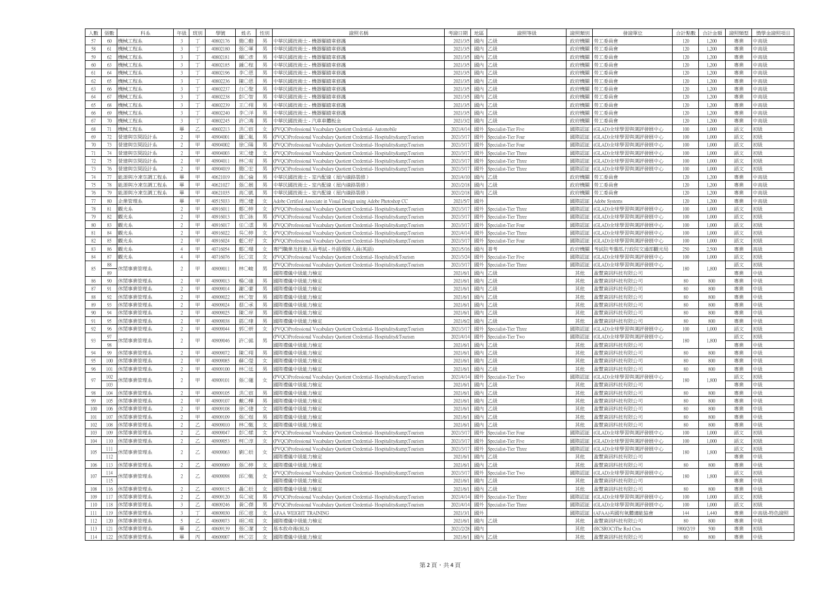| 人數     | 張數             | 科系             | 年級                       | <b>FHH</b>                | 學號       | 姓名  | 性別  | 證照名稱                                                                              | 考證日期     | 地店       | 證照等級                  | 證昭額  | 發證單位                | 合計點數     | 合計金額  | 證照類型 | 獎學金證照項目  |
|--------|----------------|----------------|--------------------------|---------------------------|----------|-----|-----|-----------------------------------------------------------------------------------|----------|----------|-----------------------|------|---------------------|----------|-------|------|----------|
| 57     | 60             | 機械工程系          |                          |                           | 40802176 | 簡○勳 |     | 車 民國技術士 - 機器腳踏車修護                                                                 | 2021/3   | 國内       | <sup>-</sup> 4P       | 政府機關 | 勞工委員會               | 120      | 1,200 | 專業   | 高級       |
| 58     | 61             | 機械工程系          | $3 -$                    | T                         | 40802180 | 張〇軍 | 男   | 中華民國技術士 - 機器腳踏車修護                                                                 | 2021/3   | 國內       | 级                     | 政府機關 | 勞工委員會               | 120      | 1,200 | 專業   | 中高級      |
| 59     | 62             | 機械工程系          | $\mathcal{R}$            |                           | 40802181 | 賴〇彦 | 男   | 中華民國技術士 - 機器腳踏車修護                                                                 | 2021/3   | 國内       | 一個                    | 政府機關 | 勞工委員會               | 120      | 1,200 | 專業   | 『高級      |
| 60     | 63             | 機械工程系          | $\overline{\mathbf{3}}$  |                           | 40802185 | 鍾○程 | 男   | 車 民國技術士 - 機器腳踏車修護                                                                 | 2021/3   |          | "跳                    | 政府機關 | 勞工委員會               | 120      | 1,200 | 專業   | 高級       |
| 61     | 64             | 機械工程系          | $\overline{3}$           | T                         | 40802196 | 李〇恩 | 男   | 中華民國技術士 - 機器腳踏車修護                                                                 | 2021/3   | 國内       | 一級                    | 政府機關 | 勞工委員會               | 120      | 1,200 | 專業   | 高級       |
| 62     | 65             | 機械工程系          | $\overline{\mathbf{3}}$  |                           | 40802236 | 陳〇恩 | 男   | 中華民國技術士 機器腳踏車修護                                                                   | 2021/3/  | 國内       | ".纵                   | 政府機關 | 勞工委員會               | 120      | 1,200 | 專業   | 中高級      |
| 63     | 66             | 機械工程系          | $\overline{3}$           |                           | 40802237 | 白〇聖 | 男   | 中華民國技術士 - 機器腳踏車修護                                                                 | 2021/3   | 國内       | 缴                     | 政府機關 | 勞工委員會               | 120      | 1,200 | 專業   | 高級       |
| 64     | 67             | 機械工程系          | $\overline{\mathbf{3}}$  |                           | 40802238 | 部へ舞 | 里   | 中華民國技術士 - 機器腳踏車修護                                                                 | 2021/3   |          | " 幼                   | 政府機關 | 第工委員會               | 120      | 1,200 | 專業   | 癌線       |
| 65     | 68             | 機械工程系          |                          |                           | 40802239 | 王〇翔 | 男   | 中華民國技術士 - 機器腳踏車修護                                                                 | 2021/3   | 國內       | 毁                     | 政府機關 | 勞工委員會               | 120      | 1,200 | 專業   | 中高級      |
| 66     | 69             | 機械工程系          | $\overline{\mathbf{3}}$  |                           | 40802240 | 李〇洋 |     | 車 民國技術士 - 機器腳踏車修護                                                                 | 2021/3   | 國内       | "跳                    | 政府機關 | 勞工委員會               | 120      | 1,200 | 專業   | 高級       |
| 67     | 70             | 機械工程系          | $\overline{3}$           | T                         | 40802245 | 許○鴻 | 男   | 中華民國技術士 - 汽車車體板金                                                                  | 2021/3   | 國內       | 乙級                    | 政府機關 | 勞工委員會               | 120      | 1,200 | 專業   | 中高級      |
| 68     | 71             | 機械工程系          | 畢                        | Z                         | 40602213 | 洪○宸 | 女   | (PVQC)Professional Vocabulary Quotient Credential- Automobile                     | 2021/4/1 | 國外       | Specialist-Tier Five  | 國際認証 | (GLAD)全球學習與測評發展中心   | 100      | 1,000 | 語文   | 的        |
| 69     | 72             | 管建與空間設計系       |                          | $\boxplus$                | 40904001 | 羅○胤 |     | (PVQC)Professional Vocabulary Quotient Credential- Hospitality&Tourism            | 2021/3/  | 國夕       | Specialist-Tier Four  | 國際認証 | (GLAD)全球學習與測評發展中心   | 100      | 1,000 | 語文   | 激        |
| 70     | 73             | 營建與空間設計系       | 2 <sup>1</sup>           | 甲                         | 40904002 | 徐○陽 | 男   | (PVQC)Professional Vocabulary Quotient Credential-Hospitality&Tourism             | 2021/3/  | 國外       | oecialist-Tier Four   | 國際認証 | (GLAD)全球學習與測評發展中心   | 100      | 1,000 | 語文   | 18時      |
| 71     | 74             | 營建與空間設計系       | $\overline{2}$           | 甲                         | 40904003 | 宋〇婕 |     | 女 (PVQC)Professional Vocabulary Quotient Credential-Hospitality&Tourism           | 2021/3/1 | 國外       | Specialist-Tier Three | 國際認証 | (GLAD)全球學習與測評發展中心   | 100      | 1,000 | 語文   | 陽        |
| 72     | 75             | 營建與空間設計系       | $\overline{2}$           | 甲                         | 4090401  | 林○宥 | 男   | (PVQC)Professional Vocabulary Quotient Credential-Hospitality&Tourism             | 2021/3/  | 國外       | Specialist-Tier Three | 國際認証 | (GLAD)全球學習與測評發展中心   | 100      | 1,000 | 語文   | 暖        |
| 73     | 76             | 登建與空間設計系       | 2 <sup>1</sup>           | $\mathbb H$               | 40904019 | 簡〇宏 | 男   | (PVQC)Professional Vocabulary Quotient Credential-Hospitality&Tourism             | 2021/3/  | 國外       | Specialist-Tier Three | 國際認証 | (GLAD)全球學習與測評發展中心   | 100      | 1,000 | 語文   | 盼        |
| 74     | 77             | 能源與冷凍空調工程系     | 畢                        | 田                         | 40621019 | 孫○倫 | 男   | 中華民國技術士 - 室内配線 (屋内線路裝修)                                                           | 2021/4/1 | 國內       | 级                     | 政府機關 | 勞工委員會               | 120      | 1,200 | 專業   | 中高級      |
| 75     | 78             | 能源與冷凍空調工程系     | 畢                        | 田                         | 40621027 | 張〇展 |     | 車華民國技術士 - 室内配線 (屋内線路裝修)                                                           | 2021/21  | 國内       | "纵                    | 政府機關 | 勞工委員會               | 120      | 1,200 | 專業   | 高級       |
| 76     | 79             | 能源與冷凍空調工程系     | 畢                        | 甲                         | 40621035 | 高〇凱 | 男   | 中華民國技術士 - 室内配線 (屋内線路裝修)                                                           | 2021/2/1 | 國內       | 绿                     | 政府機關 | 勞工委員會               | 120      | 1,200 | 專業   | 中高級      |
| 77     | $80\,$         |                | 畢                        | 甲                         | 40515033 | 周〇婕 |     |                                                                                   | 2021/5   | 國夕       |                       | 國際認証 |                     |          |       |      | 中高級      |
|        | 81             | 企業管理系<br>觀光系   | $\gamma$                 | $\boxplus$                |          |     |     | 女 Adobe Certified Associate in Visual Design using Adobe Photoshop CC             |          |          |                       | 國際認証 | Adobe Systems       | 120      | 1,200 | 專業   | 躈        |
| $78\,$ |                | 觀光系            | $\mathfrak{D}$           | 甲                         | 4091601  | 鄭○婷 |     | PVQC)Professional Vocabulary Quotient Credential- Hospitality&Tourism             | 2021/3/  | 國外<br>國外 | Specialist-Tier Three |      | (GLAD)全球學習與測評發展中心   | 100      | 1,000 | 語文   |          |
| 79     | 82             |                |                          |                           | 40916013 | 袁〇詠 | 男   | (PVOC)Professional Vocabulary Ouotient Credential-Hospitality&:Tourism            | 2021/3/  |          | oecialist-Tier Three  | 國際認証 | (GLAD)全球學習與測評發展中心   | 100      | 1,000 | 語文   |          |
| 80     | 83             | 觀光系            | 2                        | 田                         | 40916017 | 任○澐 | 男   | (PVQC)Professional Vocabulary Quotient Credential-Hospitality&Tourism             | 2021/3/  | 國外       | Specialist-Tier Four  | 國際認証 | (GLAD)全球學習與測評發展中心   | 100      | 1,000 | 語文   | 協長       |
| $81\,$ | 84             | 觀光系            | $\overline{2}$           | 田                         | 40916022 | 吳○婷 | 女   | (PVQC)Professional Vocabulary Quotient Credential-Hospitality&Tourism             | 2021/4/  | 國夕       | Specialist-Tier Three | 國際認証 | GLAD)全球學習與測評發展中心    | 100      | 1,000 | 語文   | 18)      |
| 82     | 85             | 觀光系            | $\overline{2}$           | 甲                         | 40916024 | 藍〇妤 | 女   | (PVQC)Professional Vocabulary Quotient Credential-Hospitality&Tourism             | 2021/3/  | 國外       | Specialist-Tier Four  | 國際認証 | GLAD)全球學習與測評發展中心    | 100      | 1,000 | 語文   | 激        |
| 83     | 86             | 觀光系            | $4 -$                    | 甲                         | 40716054 | 鄭○環 | 女   | 專門職業及技術人員考試 - 外語領隊人員(英語)                                                          | 2021/5/1 | 國內       | 纤考                    | 政府機關 | 考試院考選部,行政院交通部觀光局    | 250      | 2,500 | 專業   | 58.H     |
| 84     | 87             | 觀光系            | $\overline{4}$           | $\boxplus$                | 40716076 | 阮〇宣 | 女   | (PVQC)Professional Vocabulary Quotient Credential- Hospitality&Tourisn            | 2021/3/  | 國外       | Specialist-Tier Five  | 國際認証 | GLAD)全球學習與測評發展中心    | 100      | 1,000 | 語文   | 18時      |
| 85     | 88             | 木閒事業管理系        | $\overline{2}$           | 甲                         | 40909011 | 林○峻 | 男   | PVQC)Professional Vocabulary Quotient Credential- Hospitality&Tourism             | 2021/3/  | 國外       | Specialist-Tier Three | 國際認証 | GLAD)全球學習與測評發展中心    | 180      | 1,800 | 語文   |          |
|        | 89             |                |                          |                           |          |     |     | 際禮儀中級能力檢定                                                                         | 2021/6/  | 國內       | 毀                     | 其他   | 盈豐資訊科技有限公司          |          |       | 專業   | 中級       |
| 86     | 90             | 休閒事業管理系        | $\mathcal{D}$            | 甲                         | 40909013 | 楊○維 | 里   | 國際禮儀中級能力檢定                                                                        | 2021/6   | 國內       | 绿                     | 其他   | 盈豐資訊科技有限公司          | 80       | 800   | 專業   | 中級       |
| 87     | Q <sub>1</sub> | 休閒事業管理系        | $\mathfrak{D}$           | $\quad \  \  \, \boxplus$ | 40909014 | 謝○豪 | 男   | 際禮儀中級能力檢定                                                                         | 2021/6   | 國内       | "纵                    | 其他   | 盈豐資訊科技有限公司          | 80       | 800   | 專業   | 地        |
| 88     | 92             | 休閒事業管理系        | $\mathfrak{D}$           | 田                         | 40909022 | 林○智 | 男   | <b>耶祭禮儀中級能力檢定</b>                                                                 | 2021/6/  | 國内       | - 45                  | 其他   | 盈豐資訊科技有限公司          | 80       | 800   | 專業   | 中級       |
| 89     | 93             | 休閒事業管理系        | $\overline{2}$           | $\boxplus$                | 40909024 | 蔡○承 |     | 際禮儀中級能力檢定                                                                         | 2021/f   |          | "跳                    | 其他   | 留豐資訊科技有限公司          | 80       | 800   | 專業   | 哦        |
| $90\,$ | 94             | 休閒事業管理系        | $\overline{2}$           | 甲                         | 40909025 | 陳〇庠 | 男   | 國際禮儀中級能力檢定                                                                        | 2021/6   | 國内       | 一級                    | 其他   | 盈豐資訊科技有限公司          | 80       | 800   | 專業   | 喙        |
| 91     | 95             | 休閒事業管理系        | $\overline{\mathcal{L}}$ | 甲                         | 40909038 | 鄧○瑋 | 男   | 國際禮儀中級能力檢定                                                                        | 2021/6/  | 國内       | ".纵                   | 其他   | 盈豐資訊科技有限公司          | 80       | 800   | 專業   | 中級       |
| 92     | 96             | 休閒事業管理系        | $\overline{2}$           | $\quad \  \  \, \boxplus$ | 40909044 | 郭〇妍 | 女   | (PVQC)Professional Vocabulary Quotient Credential- Hospitality&Tourism            | 2021/3/  | 國々       | pecialist-Tier Three  | 國際認  | GLAD)全球學習與測評發展中心    | 100      | 1,000 | 語文   | 隐        |
| 93     | 97             | 木閒事業管理系        | $\overline{2}$           | 甲                         | 40909046 | 許○銘 | 男   | PVQC)Professional Vocabulary Quotient Credential- Hospitality&Tourism             | 2021/4/1 | 國列       | pecialist-Tier Two    | 國際認証 | GLAD)全球學習與測評發展中心    | 180      | 1,800 | 語文   | 潋        |
|        | O <sub>S</sub> |                |                          |                           |          |     |     | 際禮儀中級能力檢定                                                                         | 2021/6/  | 國内       | " 纵                   | 其他   | 盈豐資訊科技有限公司          |          |       | 專業   | 中級       |
| 94     | 99             | 休閒事業管理系        | $\overline{2}$           | 甲                         | 40909072 | 陳〇翔 | 男   | 國際禮儀中級能力檢定                                                                        | 2021/6   | 國内       | 绿                     | 其他   | 盈豐資訊科技有限公司          | 80       | 800   | 專業   | 中級       |
| 95     | 100            | 休閒事業管理系        |                          | 甲                         | 40909085 | 蘇〇瑩 | $+$ | 《際禮儀中級能力檢定                                                                        | 2021/6   | 國内       | 缴                     | 其他   | 盈豐資訊科技有限公司          | 80       | 800   | 專業   | 1名)      |
| 96     | 101            | 休閒事業管理系        | $\mathfrak{D}$           | 田                         | 40909100 | 林○廷 | 男   | 國際禮儀中級能力檢定                                                                        | 2021/6/  | 國内       | "躲                    | 其他   | 望豐資訊科技有限公司          | 80       | 800   | 專業   | 中級       |
| 97     | 102            | 木閒事業管理系        | $\sqrt{2}$               | 甲                         | 40909101 | 張○蓮 | 女   | PVQC)Professional Vocabulary Quotient Credential- Hospitality&Tourism             | 2021/4/  | 國夕       | pecialist-Tier Two    | 國際認言 | GLAD)全球學習與測評發展中心    | 180      | 1,800 | 語文   | 盼        |
|        | 103            |                |                          |                           |          |     |     | 聯續體中級能力檢定                                                                         | 2021/6   | 國内       | "躲                    | 其他   | 盈豐資訊科技有限公司          |          |       | 專業   | 喙        |
| 98     | 104            | 休閒事業管理系        |                          | 甲                         | 40909105 | 洪○宸 | 男   | 國際禮儀中級能力檢定                                                                        | 2021/6/  | 國內       | " 纵                   | 其他   | 盈豐資訊科技有限公司          | 80       | 800   | 專業   | 中級       |
| 99     | 105            | 休閒事業管理系        | $\overline{2}$           | 甲                         | 4090910  | 戴○樺 | 里   | 聯獲儀中級能力檢定                                                                         | 2021/6/  | 國内       | 一級                    | 其他   | 盈豐資訊科技有限公司          | 80       | 800   | 專業   | 中級       |
| 100    | 106            | 休閒事業管理系        | $\overline{2}$           | $\quad \  \  \, \boxplus$ | 40909108 | 徐○倢 | 女   | 際禮儀中級能力檢定                                                                         | 2021/6   | 國内       | "纵                    | 其他   | 盈豐資訊科技有限公司          | $80\,$   | 800   | 專業   | 1名)      |
| 101    | 107            | 休閒事業管理系        | $\mathfrak{D}$           | 田                         | 40909109 | 張〇煜 | 男   | <b>耶祭禮儀中級能力檢定</b>                                                                 | 2021/6/  | 國内       | "躲                    | 其他   | 盈豐資訊科技有限公司          | 80       | 800   | 專業   | 中級       |
| 102    | 108            | 木閒事業管理系        | $\overline{2}$           |                           | 4090901  | 林〇甄 | 女   | 腦禮儀中級能力檢定                                                                         | 2021/f   |          | " 幻                   | 其他   | 盈豐資訊科技有限公司          | 80       | 800   | 專業   | 口幼       |
| 103    | 109            | 休閒事業管理系        | $\overline{2}$           | 7                         | 40909041 | 彰〇雄 | 女   | PVQC)Professional Vocabulary Quotient Credential-Hospitality&Tourism              | 2021/3/  | 國外       | pecialist-Tier Four   | 國際認証 | GLAD)全球學習與測評發展中心    | 100      | 1,000 | 語文   | 激        |
| 104    | 110            | 休閒事業管理系        | $\overline{2}$           | Z                         | 40909053 | 柯○淳 |     | 女 (PVQC)Professional Vocabulary Quotient Credential-Hospitality&Tourism           | 2021/3/1 | 國外       | Specialist-Tier Five  | 國際認証 | (GLAD)全球學習與測評發展中心   | 100      | 1,000 | 語文   | 14.H     |
|        | 111            |                |                          |                           |          |     |     | PVQC)Professional Vocabulary Quotient Credential-Hospitality&Tourism              | 2021/3/  | 國外       | pecialist-Tier Three  | 國際認証 | GLAD)全球學習與測評發展中心    |          |       | 語文   | 盼        |
| 105    | 112            | <b>下閒事業管理系</b> | $\overline{2}$           | $\mathbb Z$               | 40909063 | 劉〇辰 | 女   | 网際禮儀中級能力檢定                                                                        | 2021/6   | 國內       | 一級                    | 其他   | 盈豐資訊科技有限公司          | 180      | 1,800 | 專業   | 峨        |
| 106    | 113            | 休閒事業管理系        |                          |                           | 40909069 | 張〇婷 | tr  | 國際禮儀中級能力檢定                                                                        | 2021/6/  | 國内       | 级                     | 其他   | 盈豐資訊科技有限公司          | 80       | 800   | 專業   | 中級       |
|        | 114            |                |                          |                           |          |     |     | <sup>2</sup> VQC)Professional Vocabulary Quotient Credential- Hospitality&Tourism | 2021/3/  | 國夕       | pecialist-Tier Two    | 國際認  | GLAD)全球學習與測評發展中心    |          |       | 語文   | 形成       |
| 107    | 115            | 木閒事業管理系        | $\overline{2}$           | $\mathbb Z$               | 40909098 | 邱○甄 | 女   | 際禮儀中級能力檢定                                                                         | 2021/6   | 國内       | " 纵                   | 其他   | 盈豐資訊科技有限公司          | 180      | 1,800 | 專業   | 缴        |
| 108    | 116            | 休閒事業管理系        | $\mathfrak{D}$           |                           | 40909115 | 聶○辰 | 女   | 國際禮儀中級能力檢定                                                                        | 2021/6/  | 國內       | " 纵                   | 其他   | 盈豐資訊科技有限公司          | 80       | 800   | 專業   | 地        |
| 109    | 117            | 休閒事業管理系        | $\overline{2}$           | Z.                        | 40909120 | 吳〇宬 |     | PVQC)Professional Vocabulary Quotient Credential- Hospitality&Tourism             | 2021/4/  | 國外       | Specialist-Tier Three | 國際認証 | GLAD)全球學習與測評發展中心    | 100      | 1,000 | 語文   | 18時      |
| 110    | 118            | 休閒事業管理系        | $\overline{3}$           | $\mathbb Z$               | 40809246 | 黄○傑 | 男   | PVQC)Professional Vocabulary Quotient Credential-Hospitality&Tourism              | 2021/4/1 | 國外       | pecialist-Tier Three  | 國際認証 | (GLAD)全球學習與測評發展中心   | 100      | 1,000 | 語文   |          |
| 111    | 119            | 休間事業管理系        | $\overline{3}$           |                           | 40809030 | 邱○慈 |     | 女 AFAA WEIGHT TRAINING                                                            | 2021/3   | 國夕       |                       | 國際認証 | AFAA)美國有氧體適能協會      | 144      | 1.440 | 專業   | 中高級-特色證照 |
| 112    | 120            | 休閒事業管理系        | 5                        | Z.                        | 4060907  | 胡○瑄 | 女   | 國際禮儀中級能力檢定                                                                        | 2021/6   | 國内       | 绿                     | 其他   | 盈豐資訊科技有限公司          | 80       | 800   | 專業   | 中級       |
| 113    | 121            | 休閒事業管理系        | 畢                        | Z.                        | 40609139 | 張○潔 | 女   | 基本救命術(BLS)                                                                        | 2021/2/2 | 國內       |                       | 其他   | RCSROCYThe Red Cros | 1900/2/1 | 500   | 專業   | 潋        |
| 114    |                | 122 休閒事業管理系    | 畢                        | 丙                         | 40609007 | 林〇芸 |     | 女 國際禮儀中級能力檢定                                                                      | 2021/6/  | 國内       | - 45                  | 其他   | 盈豐資訊科技有限公司          | 80       | 800   | 專業   | 中級       |
|        |                |                |                          |                           |          |     |     |                                                                                   |          |          |                       |      |                     |          |       |      |          |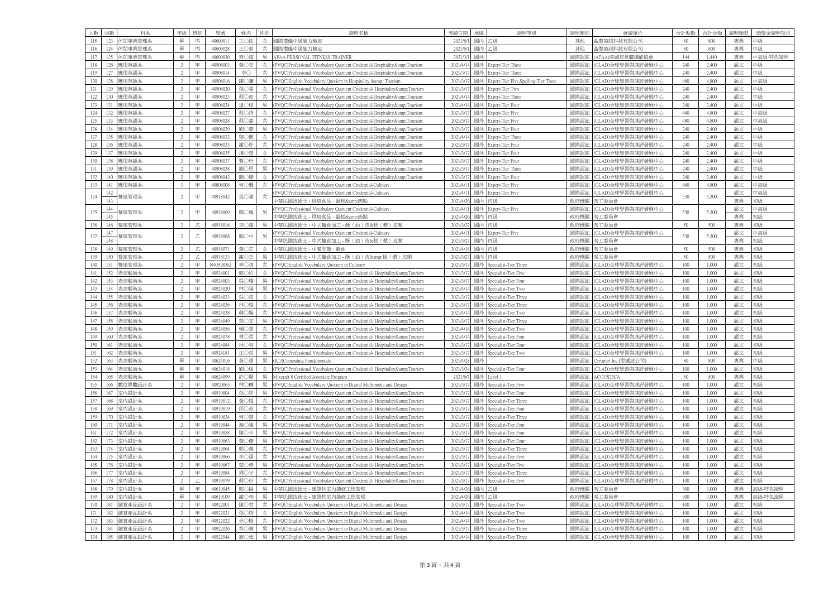|     |     | 張數  | 科系            | 年級             | <b>HFH</b>  | 學號        | 姓名  | 性別  | 證照名稱                                                                    | 考證日期     |    | 證照等級                                  | 證昭類別 | 發證單位                  | 合計點數    | 合計金額  | 證昭賴型 | 獎學金證照項目  |
|-----|-----|-----|---------------|----------------|-------------|-----------|-----|-----|-------------------------------------------------------------------------|----------|----|---------------------------------------|------|-----------------------|---------|-------|------|----------|
| 115 |     | 123 | 卡閒事業管理系       | 畢              | 丙           | 4060901   | 王〇鈺 | 女   | 國際禮儀中級能力檢定                                                              | 2021/6   |    | 1級                                    | 其他   | 盈豐資訊科技有限公司            | 80      | 800   | 專業   | 中級       |
| 116 |     | 124 | 休閒事業管理系       | 畢              | 丙           | 40609028  | 王〇絜 | 女   | 國際禮儀中級能力檢定                                                              | 2021/6/  | 國內 | 一級                                    | 其他   | 盈豐資訊科技有限公司            | 80      | 800   | 專業   | 中級       |
| 117 |     | 125 | 休閒事業管理系       | 畢              | 丙           | 40609030  | 齊〇霆 | 男   | AFAA PERSONAL FITNESS TRAINER                                           | 2021/3   | 國々 |                                       | 國際認証 | AFAA)美國有氧體適能協會        | 144     | 1,440 | 專業   | 中高級-特色證照 |
| 118 |     | 126 | 應用英語系         | $\mathfrak{D}$ | Ħ           | 40908003  | 黄○安 | 女   | (PVQC)Professional Vocabulary Quotient Credential-Hospitality&Tourism   | 2021/4/  | 國夕 | Expert-Tier Three                     | 國際認証 | GLAD)全球學習與測評發展中心      | 240     | 2,400 | 語文   | 中級       |
| 119 |     | 127 | 應用英語系         | $\overline{2}$ | 甲           | 40908014  | 李〇  | 女   | (PVQC)Professional Vocabulary Quotient Credential-Hospitality&Tourism   | 2021/3/  | 國外 | Expert-Tier Three                     | 國際認証 | GLAD)全球學習與測評發展中心      | 240     | 2,400 | 語文   | 中級       |
|     | 120 | 128 | 確用英語          | 2              | 田           | 40908016  | 陳〇滽 | 里   | (PVQC)English Vocabulary Quotient in Hospitality & Tourism              | 2021/3/  | 國外 | Expert-Tier Five, Spelling-Tier Three | 國際認証 | GLAD)全球學習與測評發展中心      | 480     | 4,800 | 語文   | 中高級      |
| 121 |     | 129 | 應用英語系         | $\mathfrak{D}$ | ₩.          | 40908020  | 張〇零 | 女   | (PVQC)Professional Vocabulary Quotient Credential-Hospitality&Tourism   | 2021/3/  | 國夕 | Expert-Tier Two                       | 國際認証 | GLAD)全球學習與測評發展中心      | 240     | 2,400 | 語文   | 中級       |
| 122 |     | 130 | <b>在用革</b> 語: |                | 田           | 40908023  | 墓○如 | 女   | (PVOC)Professional Vocabulary Ouotient Credential-Hospitality&Tourism   | 2021/4/  | 國外 | xpert-Tier Three                      | 國際認言 | GLAD)全球學習與測評發展中心      | 240     | 2,400 | 語文   | 中級       |
|     | 123 | 131 | 應用英語系         | $\overline{2}$ | 甲           | 40908024  | 温○程 | 男   | (PVQC)Professional Vocabulary Quotient Credential-Hospitality&Tourism   | 2021/4/1 | 國外 | Expert-Tier Four                      | 國際認証 | GLAD)全球學習與測評發展中心      | 240     | 2,400 | 語文   | 中級       |
| 124 |     | 132 | 應用英語系         | $\gamma$       | Ħ           | 40908023  | 蔡○詩 | 女   | (PVQC)Professional Vocabulary Quotient Credential-Hospitality&Tourism   | 2021/3/  | 國夕 | Expert-Tier Five                      | 國際認証 | GLAD)全球學習與測評發展中心      | 480     | 4,800 | 語文   | 中高級      |
|     | 125 | 133 | 應用英語系         | $\mathfrak{D}$ | 甲           | 40908028  | 蔡○嘉 | 女   | (PVQC)Professional Vocabulary Quotient Credential-Hospitality&Tourism   | 2021/3/  | 國外 | Expert-Tier Five                      | 國際認証 | (GLAD)全球學習與測評發展中心     | 480     | 4,800 | 語文   | 中高級      |
|     | 126 | 134 | 應用英語系         | 2              | 田           | 40908029  | 劉〇豪 | 里   | (PVQC)Professional Vocabulary Quotient Credential-Hospitality&Tourism   | 2021/3/  | 國外 | Expert-Tier Four                      | 國際認証 | GLAD)全球學習與測評發展中心      | 240     | 2,400 | 語文   | 中級       |
| 127 |     | 135 | 應用英語系         |                | 田           | 4090803   | 黎〇懷 | 女   | (PVQC)Professional Vocabulary Quotient Credential-Hospitality&Tourism   | 2021/4/  | 國夕 | <b>Expert-Tier Three</b>              | 國際認証 | (GLAD)全球學習與測評發展中心     | 240     | 2,400 | 語文   | 中级       |
|     | 128 | 136 | 應用英語系         | $\overline{2}$ | 甲           | 40908033  | 謝〇妤 | 女   | (PVOC)Professional Vocabulary Ouotient Credential-Hospitality&Tourism   | 2021/3/  | 國外 | Expert-Tier Four                      | 國際認証 | (GLAD)全球學習與測評發展中心     | 240     | 2,400 | 語文   | 中級       |
|     | 129 | 137 | 應用英語系         | $\overline{2}$ | 甲           | 40908035  | 建○瑩 | 女   | (PVQC)Professional Vocabulary Quotient Credential-Hospitality&Tourism   | 2021/3/1 | 國外 | Expert-Tier Four                      | 國際認証 | (GLAD)全球學習與測評發展中心     | 240     | 2,400 | 語文   | 中級       |
|     | 130 | 138 | 應用英語系         | $\overline{2}$ | ₩.          | 4090803   | 賈○玲 | 女   | (PVQC)Professional Vocabulary Quotient Credential-Hospitality&Tourism   | 2021/3/  | 國外 | Expert-Tier Four                      | 國際認証 | (GLAD)全球學習與測評發展中心     | 240     | 2,400 | 語文   | 中級       |
| 131 |     | 139 | 應用英語系         |                | 甲           | 40908038  | 簡〇恩 | 男   | (PVQC)Professional Vocabulary Quotient Credential-Hospitality&Tourism   | 2021/3/  | 國外 | xpert-Tier Three                      | 國際認証 | (GLAD)全球學習與測評發展中心     | 240     | 2,400 | 語文   | 中級       |
|     | 132 | 140 | 應用英語系         | 2              | 甲           | 40908042  | 簡○臻 | 女   | (PVQC)Professional Vocabulary Quotient Credential-Hospitality&Tourism   | 2021/3/  | 國外 | Expert-Tier Four                      | 國際認証 | (GLAD)全球學習與測評發展中心     | 240     | 2,400 | 語文   | 中級       |
| 133 | 14  |     | 應用英語系         | $\mathbf{a}$   | 田           | 40808008  | 何○姍 | 女   | (PVQC)Professional Vocabulary Quotient Credential-Culinary              | 2021/4/  | 國夕 | Expert-Tier Five                      | 國際認証 | GLAD)全球學習與測評發展中心      | 480     | 4,800 | 語文   | 中高級      |
| 134 |     | 142 | 餐旅管理系         | $\overline{2}$ | 甲           | 40918042  | 馬〇潔 | 女   | (PVQC)Professional Vocabulary Quotient Credential-Culinary              | 2021/4/  | 國外 | Expert-Tier Five                      | 國際認証 | (GLAD)全球學習與測評發展中心     | 530     | 5,300 | 語文   | 中高級      |
|     |     | 143 |               |                |             |           |     |     | 中華民國技術士 - 烘焙食品 - 蛋糕&西點                                                  | 2021/4/2 | 國內 | 丙級                                    | 政府機關 | 勞工委員會                 |         |       | 專業   | 噭        |
| 135 |     | 144 | 餐旅管理系         | $\overline{2}$ | 甲           | 40918069  | 鄒〇逸 | 男   | (PVQC)Professional Vocabulary Quotient Credential-Culinary              | 2021/4/  | 國外 | Expert-Tier Five                      | 國際認証 | (GLAD)全球學習與測評發展中心     | 530     | 5,300 | 語文   | 中高級      |
|     |     | 145 |               |                |             |           |     |     | 車 民國技術士 - 烘焙食品 - 蛋糕&:西點                                                 | 2021/4/2 | 國內 | 后纵                                    | 政府機關 | 勞工委員會                 |         |       | 專業   | 躈        |
|     | 136 | 146 | 餐旅管理系         | 2              | Z           | 40918016  | 李〇霖 | 男   | 中華民國技術士 - 中式麵食加工 - 酥 (油) 皮&糕 (漿) 皮類                                     | 2021/3/2 | 國內 | 丙級                                    | 政府機關 | 勞工委員會                 | 50      | 500   | 專業   | 強        |
| 137 |     | 147 | 層旅管理系         | $\overline{2}$ | $\mathbb Z$ | 40918068  | 鄭〇中 | 男   | (PVQC)Professional Vocabulary Quotient Credential-Culinary              | 2021/4/  |    | Expert-Tier Five                      | 國際認証 | GLAD)全球學習與測評發展中心      | 530     | 5,300 | 語文   | 中高級      |
|     |     | 148 |               |                |             |           |     |     | 中華民國技術士 - 中式麵食加工 - 酥 (油) 皮&糕 (漿) 皮類                                     | 2021/3/2 | 國內 | 玉銀                                    | 政府機關 | 勞工委員會                 |         |       | 專業   | 強        |
|     | 138 | 149 | 餐旅管理系         | $\overline{2}$ | Z           | 40918071  | 黄〇芯 | 女   | 中華民國技術士 - 中餐烹調 - 葷食                                                     | 2021/4/1 | 國內 | 雨级                                    | 政府機關 | 勞工委員會                 | 50      | 500   | 專業   | 強        |
| 139 |     | 150 | 餐旅管理美         | $\mathcal{L}$  |             | 40918133  | 謝〇杰 | 男   | 中華民國技術士 - 中式麵食加工 - 酥 (油) 皮&糕 (漿) 皮舞                                     | 2021/3/  | 國内 | 村級                                    | 政府機關 | 勞工委員會                 | 50      | 500   | 專業   | 形狀       |
|     | 140 | 151 | 餐旅管理系         | $\overline{2}$ | 甲           | N40918062 | 辜○淇 | 女   | (PVQC)English Vocabulary Quotient in Culinary                           | 2021/3/1 | 國外 | Specialist-Tier Three                 | 國際認証 | (GLAD)全球學習與測評發展中心     | 100     | 1,000 | 語文   | 強        |
| 141 |     | 152 | 表演藝術系         | $\overline{2}$ | 田           | 40924001  | 鄭○約 | 女   | (PVQC)Professional Vocabulary Quotient Credential-Hospitality&Tourism   | 2021/3/  | 國外 | Specialist-Tier Five                  | 國際認証 | (GLAD)全球學習與測評發展中心     | 100     | 1,000 | 語文   | 刀級       |
| 142 |     | 153 | 長演藝術系         | $\overline{2}$ | Ħ           | 40924003  | 吳○璿 |     | (PVQC)Professional Vocabulary Quotient Credential- Hospitality&Tourism  | 2021/3/  | 國夕 | Specialist-Tier Four                  | 國際認証 | (GLAD)全球學習與測評發展中心     | 100     | 1,000 | 語文   | 刃级       |
|     | 143 | 154 | 表演藝術系         | $\overline{2}$ | 甲           | 40924020  | 林○陽 | 男   | (PVQC)Professional Vocabulary Quotient Credential-Hospitality&Tourism   | 2021/4/1 | 國外 | becialist-Tier Two                    | 國際認証 | (GLAD)全球學習與測評發展中心     | 100     | 1,000 | 語文   | 腦        |
|     | 144 | 155 | 長演藝術系         | $\overline{c}$ | 甲           | 40924033  | 吳○霄 | 女   | (PVQC)Professional Vocabulary Quotient Credential- Hospitality&Tourism  | 2021/3/1 | 國外 | Specialist-Tier Three                 | 國際認証 | GLAD)全球學習與測評發展中心      | 100     | 1,000 | 語文   | 強        |
| 145 |     | 156 | 長演藝術系         |                | 田           | 40924036  | 林○媛 |     | (PVQC)Professional Vocabulary Quotient Credential-Hospitality&Tourism   | 2021/3/  | 國夕 | pecialist-Tier Three                  | 國際認証 | GLAD)全球學習與測評發展中心      | 100     | 1,000 | 語文   | 強        |
|     | 146 | 157 | 表演藝術系         | $\overline{2}$ | 甲           | 40924038  | 蘇〇嫙 | 女   | (PVQC)Professional Vocabulary Quotient Credential- Hospitality&Tourism  | 2021/4/  | 國外 | Specialist-Tier Two                   | 國際認証 | (GLAD)全球學習與測評發展中心     | 100     | 1,000 | 語文   | 強        |
|     | 147 | 158 | 表演藝術系         | 2              | 甲           | 40924049  | 葉〇安 | 男   | (PVQC)Professional Vocabulary Quotient Credential- Hospitality&Tourism  | 2021/3/  | 國外 | Specialist-Tier Three                 | 國際認証 | GLAD)全球學習與測評發展中心      | 100     | 1,000 | 語文   | 刀級       |
| 148 |     | 159 | 長演藝術系         | $\overline{2}$ | 田           | 40924056  | 賴○萱 | 女   | (PVQC)Professional Vocabulary Quotient Credential-Hospitality&Tourism   | 2021/4/  | 國外 | pecialist-Tier Two                    | 國際認証 | GLAD)全球學習與測評發展中心      | 100     | 1,000 | 語文   | 形狀       |
|     | 149 | 160 | 表演藝術系         | 2              | 甲           | 40924078  | 曾○柔 | 女   | (PVQC)Professional Vocabulary Quotient Credential-Hospitality&Tourism   | 2021/4/1 | 國外 | Specialist-Tier Four                  | 國際認証 | (GLAD)全球學習與測評發展中心     | 100     | 1,000 | 語文   | 刀級       |
|     | 150 | 161 | 表演藝術系         | $\overline{2}$ | ₩.          | 40924084  | 林○容 | 女   | (PVQC)Professional Vocabulary Quotient Credential-Hospitality&Tourism   | 2021/3/  | 國外 | Specialist-Tier Four                  | 國際認証 | GLAD)全球學習與測評發展中心      | 100     | 1,000 | 語文   | 嘰        |
| 151 |     | 162 | 長演藝術系         | $\mathfrak{D}$ | 田           | 4092418   | 汪〇哲 |     | (PVQC)Professional Vocabulary Quotient Credential-Hospitality&Tourism   | 2021/3/  | 國外 | Specialist-Tier Two                   | 國際認証 | (GLAD)全球學習與測評發展中心     | 100     | 1,000 | 語文   | 刃級       |
|     | 152 | 163 | 表演藝術系         | 畢              | 甲           | 40624016  | 黄○源 | 男   | (IC3)Computing Fundamentals                                             | 2021/4/2 | 國外 |                                       | 國際認証 | Certiport Inc.[思遞波公司] | 80      | 800   | 專業   | 中級       |
|     | 153 | 164 | 長演藝術系         | 畢              | 甲           | 40624018  | 劉○煖 | 女   | (PVQC)Professional Vocabulary Quotient Credential-Hospitality&Tourism   | 2021/3/2 | 國外 | Specialist-Tier Four                  | 國際認証 | GLAD)全球學習與測評發展中心      | 100     | 1,000 | 語文   | 強        |
| 154 |     | 165 | 長演藝術系         | 畢              | Ħ           | 40624099  | 許○賢 |     | Mixcraft 8 Certified Associate Program                                  | 2021/6   | 國夕 | evel 1                                | 國際認証 | <b>ACOUSTICA</b>      | 50      | 500   | 專業   | 刀級       |
| 155 |     | 166 | 數位媒體設計系       | $\overline{2}$ | 甲           | 40920065  | 林○麟 | 男   | (PVQC)English Vocabulary Quotient in Digital Multimedia and Design      | 2021/3/1 | 國外 | Specialist-Tier Five                  | 國際認証 | (GLAD)全球學習與測評發展中心     | 100     | 1,000 | 語文   | 強        |
| 156 |     | 167 | 室内設計系         | $\overline{2}$ | 田           | 40919004  | 張〇評 | 男   | (PVQC)Professional Vocabulary Quotient Credential- Hospitality&Tourism  | 2021/3/  | 國外 | Specialist-Tier Four                  | 國際認証 | GLAD)全球學習與測評發展中心      | 100     | 1,000 | 語文   | 张        |
| 157 |     | 168 | 官内設計系         | $\overline{2}$ | Ħ           | 40919012  | 黄○媛 | 女   | (PVQC)Professional Vocabulary Quotient Credential- Hospitality&Tourism  | 2021/3/  | 國夕 | Specialist-Tier Three                 | 國際認証 | GLAD)全球學習與測評發展中心      | 100     | 1.000 | 語文   | 強        |
|     | 158 | 169 | 昆内設計系         | $\overline{2}$ | 甲           | 40919019  | 邱○慈 | 女   | (PVQC)Professional Vocabulary Quotient Credential- Hospitality&Tourism  | 2021/3/  | 國外 | pecialist-Tier Four                   | 國際認証 | (GLAD)全球學習與測評發展中心     | 100     | 1,000 | 語文   | 躈        |
|     | 159 | 170 | 室内設計系         | $\overline{2}$ | 田           | 40919024  | 何○慧 | 女   | (PVQC)Professional Vocabulary Quotient Credential- Hospitality&Tourism  | 2021/3/  | 國外 | pecialist-Tier Three                  | 國際認証 | GLAD)全球學習與測評發展中心      | 100     | 1,000 | 語文   | 嘰        |
| 160 |     |     | 都内設計系         |                | 田           | 40919044  | 游○隆 |     | (PVQC)Professional Vocabulary Quotient Credential-Hospitality&Tourism   | 2021/3/  |    | pecialist-Tier Four                   | 國際認言 | GLAD)全球學習與測評發展中心      | 100     | 1,000 | 語文   | 嘰        |
| 161 |     | 172 | 室内設計系         | $\overline{2}$ | $\boxplus$  | 40919058  | 陳〇辛 | 男   | (PVOC)Professional Vocabulary Ouotient Credential-Hospitality&Tourism   | 2021/3/  | 國外 | Specialist-Tier Four                  | 國際認証 | (GLAD)全球學習與測評發展中心     | 100     | 1,000 | 語文   | 強        |
|     | 162 | 173 | 室内設計系         | $\overline{2}$ | 甲           | 40919063  | 黄○傑 | 男   | (PVQC)Professional Vocabulary Quotient Credential- Hospitality&Tourism  | 2021/3/1 | 國外 | Specialist-Tier Four                  | 國際認証 | GLAD)全球學習與測評發展中心      | 100     | 1,000 | 語文   | 躈        |
| 163 |     | 174 | 官内設計系         | $\gamma$       | Ħ           | 40919064  | 鄭○蔡 | 女   | (PVQC)Professional Vocabulary Quotient Credential- Hospitality&Tourism  | 2021/3/  | 國夕 | Specialist-Tier Three                 | 國際認証 | GLAD)全球學習與測評發展中心      | 100     | 1,000 | 語文   | 刀級       |
|     | 164 | 175 | 室内設計系         | $\overline{2}$ | 甲           | 40919066  | 李〇霆 | 女   | (PVQC)Professional Vocabulary Quotient Credential-Hospitality&Tourism   | 2021/3/1 | 國外 | Specialist-Tier Five                  | 國際認証 | (GLAD)全球學習與測評發展中心     | 100     | 1,000 | 語文   | 刀級       |
|     | 165 | 176 | 室内設計系         | 2              | 田           | 40919067  | 楚〇彦 | 男   | (PVQC)Professional Vocabulary Quotient Credential-Hospitality&Tourism   | 2021/3/  | 國外 | pecialist-Tier Five                   | 國際認証 | GLAD)全球學習與測評發展中心      | 100     | 1,000 | 語文   | 张        |
|     | 166 | 177 | 室内設計系         |                | 田           | 40919084  | 周〇宇 | 女   | (PVQC)Professional Vocabulary Quotient Credential-Hospitality&Tourism   | 2021/3/  | 國夕 | Specialist-Tier Three                 | 國際認証 | GLAD)全球學習與測評發展中心      | 100     | 1,000 | 語文   | 形状       |
|     | 167 | 178 | 室内設計系         | $\overline{2}$ | Z.          | 40919079  | 蔡〇伶 |     | 女 (PVQC)Professional Vocabulary Quotient Credential-Hospitality&Tourism | 2021/3/1 | 國外 | pecialist-Tier Five                   | 國際認証 | (GLAD)全球學習與測評發展中心     | 100     | 1,000 | 語文   | 呦        |
| 168 |     | 179 | 室内設計系         | 畢              | $\boxplus$  | 40619045  | 鄭○揚 | 男   | 中華民國技術士 - 建築物室内裝修工程管理                                                   | 2021/4/2 | 國內 | 跋                                     | 政府機關 | 勞工委員會                 | 300     | 3,000 | 專業   | 新級-特色證照  |
| 169 |     | 180 | 置内設計系         | 畢              | Ħ           | 40619109  | 謝〇林 |     | 車華民國技術士 - 建築物室内裝修工程管理                                                   | 2021/4/2 |    | " 织                                   | 政府機關 | 亨工委員會                 | 300     | 3,000 | 專業   | 級-特色證照   |
|     | 170 | 181 | 川意產品設計        |                | 甲           | 40922001  | 陳〇君 | 女   | (PVOC)English Vocabulary Ouotient in Digital Multimedia and Design      | 2021/3/  | 國外 | pecialist-Tier Two                    | 國際認証 | (GLAD)全球學習與測評發展中心     | 100     | 1,000 | 語文   | 绷        |
| 171 |     | 182 | 前意產品設計系       | $\overline{2}$ | 甲           | 40922021  | 張〇筠 | 女   | (PVQC)English Vocabulary Quotient in Digital Multimedia and Design      | 2021/4/  | 國外 | Specialist-Tier Two                   | 國際認証 | (GLAD)全球學習與測評發展中心     | 100     | 1,000 | 語文   | 嘰        |
| 172 |     | 183 | 意產品設計系        |                | Ħ           | 40922022  | 余〇榕 | tr. | (PVQC)English Vocabulary Quotient in Digital Multimedia and Design      | 202114   |    | pecialist-Tier Two                    | 國際認証 | (GLAD)全球學習與測評發展中心     | 100     | 1.000 | 語文   | 刀纵       |
| 173 |     | 184 | 削意產品設計系       |                | 甲           | 40922026  | 吳○誠 | 男   | (PVQC)English Vocabulary Quotient in Digital Multimedia and Design      | 2021/3/  | 國外 | Specialist-Tier Three                 | 國際認証 | (GLAD)全球學習與測評發展中心     | $100 -$ | 1,000 | 語文   | 強        |
|     | 174 | 185 | 創意產品設計系       |                | 甲           | 40922044  | 施〇廷 | 男   | (PVQC)English Vocabulary Quotient in Digital Multimedia and Design      | 2021/4/1 | 國外 | Specialist-Tier Three                 | 國際認証 | (GLAD)全球學習與測評發展中心     | 100     | 1,000 | 語文   | 刀幻       |